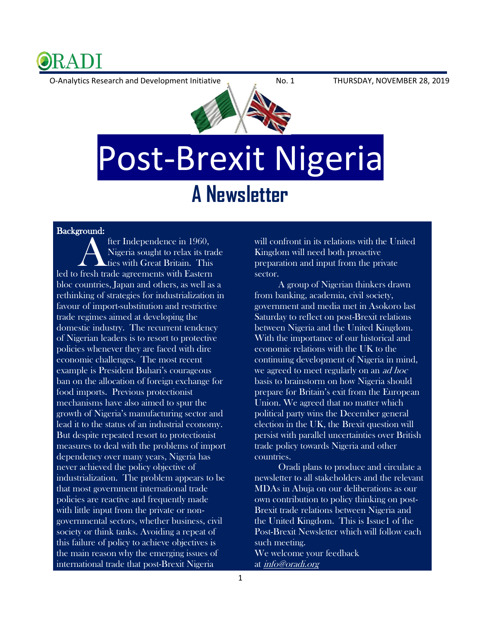

O-Analytics Research and Development Initiative No. 1 THURSDAY, NOVEMBER 28, 2019



## Post-Brexit Nigeria **A Newsletter**

## Background:

fter Independence in 1960, Nigeria sought to relax its trade ties with Great Britain. This Background.<br>
fter Independence in 1960,<br>
Nigeria sought to relax its trade<br>
led to fresh trade agreements with Eastern bloc countries, Japan and others, as well as a rethinking of strategies for industrialization in favour of import-substitution and restrictive trade regimes aimed at developing the domestic industry. The recurrent tendency of Nigerian leaders is to resort to protective policies whenever they are faced with dire economic challenges. The most recent example is President Buhari's courageous ban on the allocation of foreign exchange for food imports. Previous protectionist mechanisms have also aimed to spur the growth of Nigeria's manufacturing sector and lead it to the status of an industrial economy. But despite repeated resort to protectionist measures to deal with the problems of import dependency over many years, Nigeria has never achieved the policy objective of industrialization. The problem appears to be that most government international trade policies are reactive and frequently made with little input from the private or nongovernmental sectors, whether business, civil society or think tanks. Avoiding a repeat of this failure of policy to achieve objectives is the main reason why the emerging issues of international trade that post-Brexit Nigeria

will confront in its relations with the United Kingdom will need both proactive preparation and input from the private sector.

 A group of Nigerian thinkers drawn from banking, academia, civil society, government and media met in Asokoro last Saturday to reflect on post-Brexit relations between Nigeria and the United Kingdom. With the importance of our historical and economic relations with the UK to the continuing development of Nigeria in mind, we agreed to meet regularly on an *ad hoc* basis to brainstorm on how Nigeria should prepare for Britain's exit from the European Union. We agreed that no matter which political party wins the December general election in the UK, the Brexit question will persist with parallel uncertainties over British trade policy towards Nigeria and other countries.

 Oradi plans to produce and circulate a newsletter to all stakeholders and the relevant MDAs in Abuja on our deliberations as our own contribution to policy thinking on post-Brexit trade relations between Nigeria and the United Kingdom. This is Issue1 of the Post-Brexit Newsletter which will follow each such meeting. We welcome your feedback at *[info@oradi.org](mailto:info@oradi.org)*